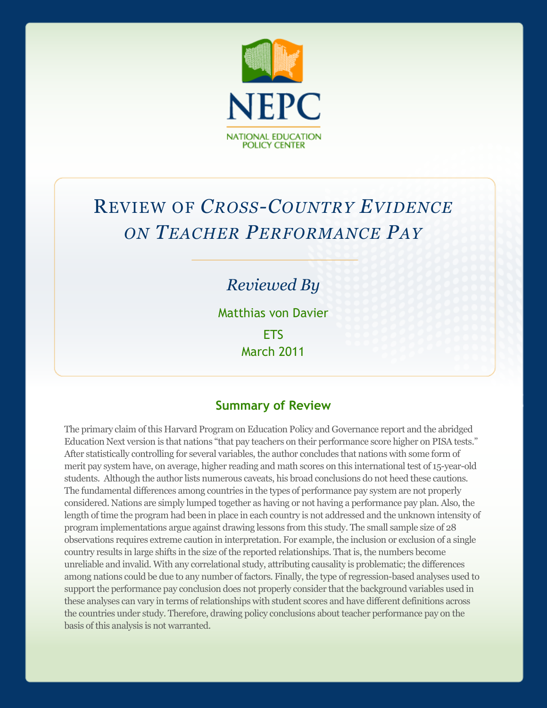

# REVIEW OF *CROSS-COUNTRY EVIDENCE ON TEACHER PERFORMANCE PAY*

## *Reviewed By*

Matthias von Davier **FTS** March 2011

### **Summary of Review**

The primary claim of this Harvard Program on Education Policy and Governance report and the abridged Education Next version is that nations "that pay teachers on their performance score higher on PISA tests." After statistically controlling for several variables, the author concludes that nations with some form of merit pay system have, on average, higher reading and math scores on this international test of 15-year-old students. Although the author lists numerous caveats, his broad conclusions do not heed these cautions. The fundamental differences among countries in the types of performance pay system are not properly considered. Nations are simply lumped together as having or not having a performance pay plan. Also, the length of time the program had been in place in each country is not addressed and the unknown intensity of program implementations argue against drawing lessons from this study. The small sample size of 28 observations requires extreme caution in interpretation. For example, the inclusion or exclusion of a single country results in large shifts in the size of the reported relationships. That is, the numbers become unreliable and invalid. With any correlational study, attributing causality is problematic; the differences among nations could be due to any number of factors. Finally, the type of regression-based analyses used to support the performance pay conclusion does not properly consider that the background variables used in these analyses can vary in terms of relationships with student scores and have different definitions across the countries under study. Therefore, drawing policy conclusions about teacher performance pay on the basis of this analysis is not warranted.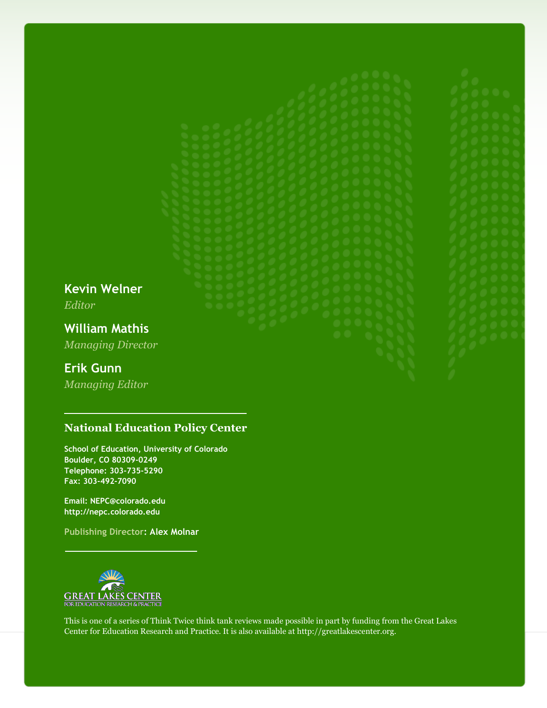**Kevin Welner** *Editor*

**William Mathis** *Managing Director*

### **Erik Gunn**

*Managing Editor*

#### **National Education Policy Center**

**School of Education, University of Colorado Boulder, CO 80309-0249 Telephone: 303-735-5290 Fax: 303-492-7090**

**Email: NEPC@colorado.edu http://nepc.colorado.edu**

**Publishing Director: Alex Molnar**



This is one of a series of Think Twice think tank reviews made possible in part by funding from the Great Lakes Center for Education Research and Practice. It is also available at http://greatlakescenter.org.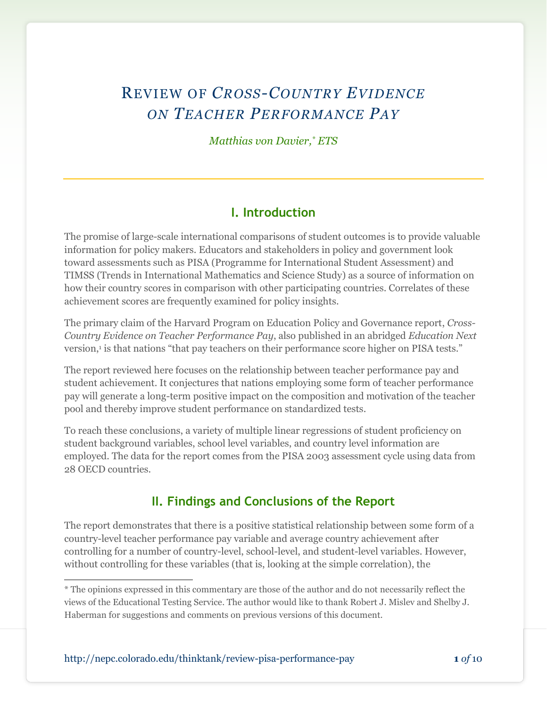# REVIEW OF *CROSS-COUNTRY EVIDENCE ON TEACHER PERFORMANCE PAY*

*Matthias von Davier, \* ETS*

### **I. Introduction**

The promise of large-scale international comparisons of student outcomes is to provide valuable information for policy makers. Educators and stakeholders in policy and government look toward assessments such as PISA (Programme for International Student Assessment) and TIMSS (Trends in International Mathematics and Science Study) as a source of information on how their country scores in comparison with other participating countries. Correlates of these achievement scores are frequently examined for policy insights.

The primary claim of the Harvard Program on Education Policy and Governance report, *Cross-Country Evidence on Teacher Performance Pay*, also published in an abridged *Education Next* version,<sup>1</sup> is that nations "that pay teachers on their performance score higher on PISA tests."

The report reviewed here focuses on the relationship between teacher performance pay and student achievement. It conjectures that nations employing some form of teacher performance pay will generate a long-term positive impact on the composition and motivation of the teacher pool and thereby improve student performance on standardized tests.

To reach these conclusions, a variety of multiple linear regressions of student proficiency on student background variables, school level variables, and country level information are employed. The data for the report comes from the PISA 2003 assessment cycle using data from 28 OECD countries.

### **II. Findings and Conclusions of the Report**

The report demonstrates that there is a positive statistical relationship between some form of a country-level teacher performance pay variable and average country achievement after controlling for a number of country-level, school-level, and student-level variables. However, without controlling for these variables (that is, looking at the simple correlation), the

l \* The opinions expressed in this commentary are those of the author and do not necessarily reflect the views of the Educational Testing Service. The author would like to thank Robert J. Mislev and Shelby J. Haberman for suggestions and comments on previous versions of this document.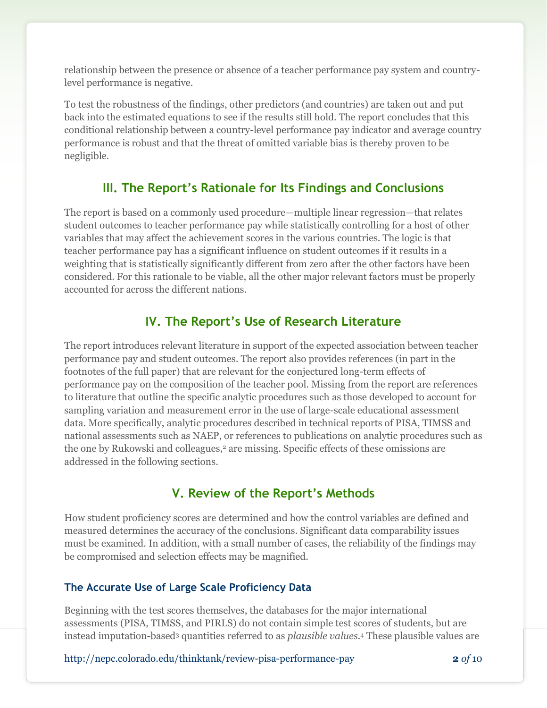relationship between the presence or absence of a teacher performance pay system and countrylevel performance is negative.

To test the robustness of the findings, other predictors (and countries) are taken out and put back into the estimated equations to see if the results still hold. The report concludes that this conditional relationship between a country-level performance pay indicator and average country performance is robust and that the threat of omitted variable bias is thereby proven to be negligible.

### **III. The Report's Rationale for Its Findings and Conclusions**

The report is based on a commonly used procedure—multiple linear regression—that relates student outcomes to teacher performance pay while statistically controlling for a host of other variables that may affect the achievement scores in the various countries. The logic is that teacher performance pay has a significant influence on student outcomes if it results in a weighting that is statistically significantly different from zero after the other factors have been considered. For this rationale to be viable, all the other major relevant factors must be properly accounted for across the different nations.

### **IV. The Report's Use of Research Literature**

The report introduces relevant literature in support of the expected association between teacher performance pay and student outcomes. The report also provides references (in part in the footnotes of the full paper) that are relevant for the conjectured long-term effects of performance pay on the composition of the teacher pool. Missing from the report are references to literature that outline the specific analytic procedures such as those developed to account for sampling variation and measurement error in the use of large-scale educational assessment data. More specifically, analytic procedures described in technical reports of PISA, TIMSS and national assessments such as NAEP, or references to publications on analytic procedures such as the one by Rukowski and colleagues, <sup>2</sup> are missing. Specific effects of these omissions are addressed in the following sections.

### **V. Review of the Report's Methods**

How student proficiency scores are determined and how the control variables are defined and measured determines the accuracy of the conclusions. Significant data comparability issues must be examined. In addition, with a small number of cases, the reliability of the findings may be compromised and selection effects may be magnified.

#### **The Accurate Use of Large Scale Proficiency Data**

Beginning with the test scores themselves, the databases for the major international assessments (PISA, TIMSS, and PIRLS) do not contain simple test scores of students, but are instead imputation-based<sup>3</sup> quantities referred to as *plausible values.* <sup>4</sup> These plausible values are

http://nepc.colorado.edu/thinktank/review-pisa-performance-pay **2** *of* 10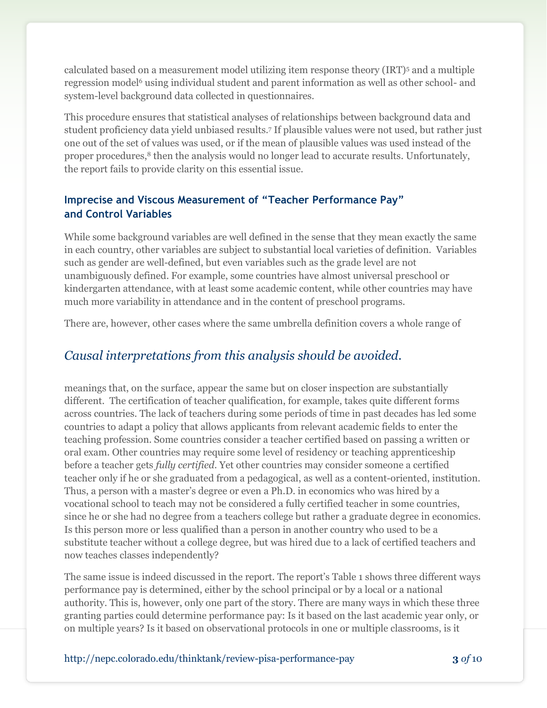calculated based on a measurement model utilizing item response theory (IRT)<sup>5</sup> and a multiple regression model <sup>6</sup> using individual student and parent information as well as other school- and system-level background data collected in questionnaires.

This procedure ensures that statistical analyses of relationships between background data and student proficiency data yield unbiased results.<sup>7</sup> If plausible values were not used, but rather just one out of the set of values was used, or if the mean of plausible values was used instead of the proper procedures,<sup>8</sup> then the analysis would no longer lead to accurate results. Unfortunately, the report fails to provide clarity on this essential issue.

#### **Imprecise and Viscous Measurement of "Teacher Performance Pay" and Control Variables**

While some background variables are well defined in the sense that they mean exactly the same in each country, other variables are subject to substantial local varieties of definition. Variables such as gender are well-defined, but even variables such as the grade level are not unambiguously defined. For example, some countries have almost universal preschool or kindergarten attendance, with at least some academic content, while other countries may have much more variability in attendance and in the content of preschool programs.

There are, however, other cases where the same umbrella definition covers a whole range of

### *Causal interpretations from this analysis should be avoided.*

meanings that, on the surface, appear the same but on closer inspection are substantially different. The certification of teacher qualification, for example, takes quite different forms across countries. The lack of teachers during some periods of time in past decades has led some countries to adapt a policy that allows applicants from relevant academic fields to enter the teaching profession. Some countries consider a teacher certified based on passing a written or oral exam. Other countries may require some level of residency or teaching apprenticeship before a teacher gets *fully certified*. Yet other countries may consider someone a certified teacher only if he or she graduated from a pedagogical, as well as a content-oriented, institution. Thus, a person with a master's degree or even a Ph.D. in economics who was hired by a vocational school to teach may not be considered a fully certified teacher in some countries, since he or she had no degree from a teachers college but rather a graduate degree in economics. Is this person more or less qualified than a person in another country who used to be a substitute teacher without a college degree, but was hired due to a lack of certified teachers and now teaches classes independently?

The same issue is indeed discussed in the report. The report's Table 1 shows three different ways performance pay is determined, either by the school principal or by a local or a national authority. This is, however, only one part of the story. There are many ways in which these three granting parties could determine performance pay: Is it based on the last academic year only, or on multiple years? Is it based on observational protocols in one or multiple classrooms, is it

http://nepc.colorado.edu/thinktank/review-pisa-performance-pay **3** *of* 10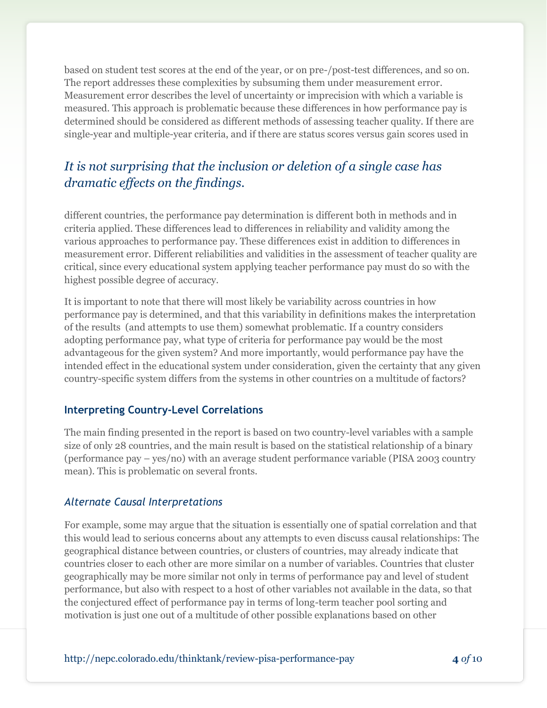based on student test scores at the end of the year, or on pre-/post-test differences, and so on. The report addresses these complexities by subsuming them under measurement error. Measurement error describes the level of uncertainty or imprecision with which a variable is measured. This approach is problematic because these differences in how performance pay is determined should be considered as different methods of assessing teacher quality. If there are single-year and multiple-year criteria, and if there are status scores versus gain scores used in

### *It is not surprising that the inclusion or deletion of a single case has dramatic effects on the findings.*

different countries, the performance pay determination is different both in methods and in criteria applied. These differences lead to differences in reliability and validity among the various approaches to performance pay. These differences exist in addition to differences in measurement error. Different reliabilities and validities in the assessment of teacher quality are critical, since every educational system applying teacher performance pay must do so with the highest possible degree of accuracy.

It is important to note that there will most likely be variability across countries in how performance pay is determined, and that this variability in definitions makes the interpretation of the results (and attempts to use them) somewhat problematic. If a country considers adopting performance pay, what type of criteria for performance pay would be the most advantageous for the given system? And more importantly, would performance pay have the intended effect in the educational system under consideration, given the certainty that any given country-specific system differs from the systems in other countries on a multitude of factors?

#### **Interpreting Country-Level Correlations**

The main finding presented in the report is based on two country-level variables with a sample size of only 28 countries, and the main result is based on the statistical relationship of a binary (performance pay – yes/no) with an average student performance variable (PISA 2003 country mean). This is problematic on several fronts.

#### *Alternate Causal Interpretations*

For example, some may argue that the situation is essentially one of spatial correlation and that this would lead to serious concerns about any attempts to even discuss causal relationships: The geographical distance between countries, or clusters of countries, may already indicate that countries closer to each other are more similar on a number of variables. Countries that cluster geographically may be more similar not only in terms of performance pay and level of student performance, but also with respect to a host of other variables not available in the data, so that the conjectured effect of performance pay in terms of long-term teacher pool sorting and motivation is just one out of a multitude of other possible explanations based on other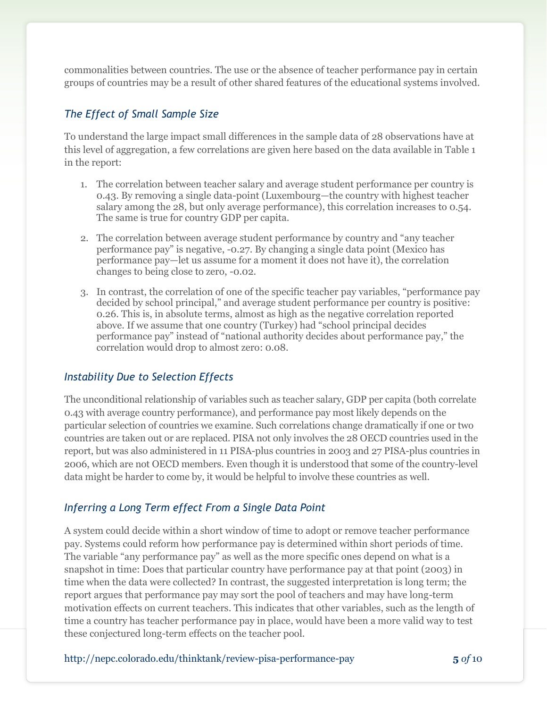commonalities between countries. The use or the absence of teacher performance pay in certain groups of countries may be a result of other shared features of the educational systems involved.

#### *The Effect of Small Sample Size*

To understand the large impact small differences in the sample data of 28 observations have at this level of aggregation, a few correlations are given here based on the data available in Table 1 in the report:

- 1. The correlation between teacher salary and average student performance per country is 0.43. By removing a single data-point (Luxembourg—the country with highest teacher salary among the 28, but only average performance), this correlation increases to 0.54. The same is true for country GDP per capita.
- 2. The correlation between average student performance by country and "any teacher" performance pay‖ is negative, -0.27. By changing a single data point (Mexico has performance pay—let us assume for a moment it does not have it), the correlation changes to being close to zero, -0.02.
- 3. In contrast, the correlation of one of the specific teacher pay variables, "performance pay decided by school principal," and average student performance per country is positive: 0.26. This is, in absolute terms, almost as high as the negative correlation reported above. If we assume that one country (Turkey) had "school principal decides performance pay" instead of "national authority decides about performance pay," the correlation would drop to almost zero: 0.08.

#### *Instability Due to Selection Effects*

The unconditional relationship of variables such as teacher salary, GDP per capita (both correlate 0.43 with average country performance), and performance pay most likely depends on the particular selection of countries we examine. Such correlations change dramatically if one or two countries are taken out or are replaced. PISA not only involves the 28 OECD countries used in the report, but was also administered in 11 PISA-plus countries in 2003 and 27 PISA-plus countries in 2006, which are not OECD members. Even though it is understood that some of the country-level data might be harder to come by, it would be helpful to involve these countries as well.

#### *Inferring a Long Term effect From a Single Data Point*

A system could decide within a short window of time to adopt or remove teacher performance pay. Systems could reform how performance pay is determined within short periods of time. The variable "any performance pay" as well as the more specific ones depend on what is a snapshot in time: Does that particular country have performance pay at that point (2003) in time when the data were collected? In contrast, the suggested interpretation is long term; the report argues that performance pay may sort the pool of teachers and may have long-term motivation effects on current teachers. This indicates that other variables, such as the length of time a country has teacher performance pay in place, would have been a more valid way to test these conjectured long-term effects on the teacher pool.

http://nepc.colorado.edu/thinktank/review-pisa-performance-pay **5** *of* 10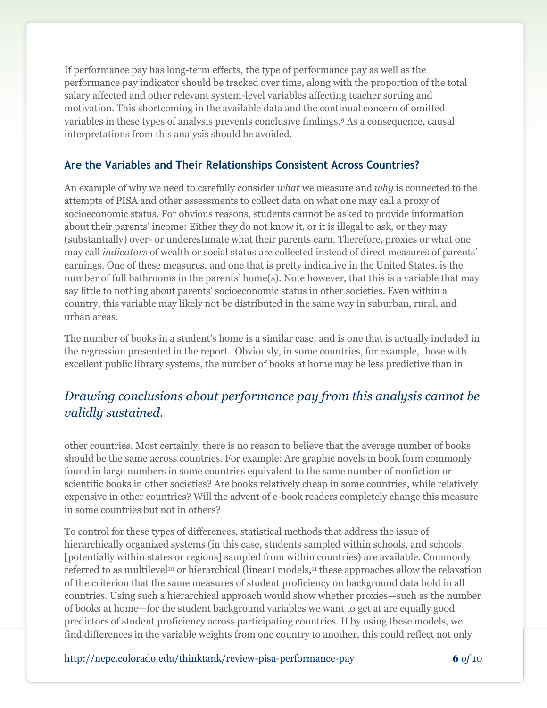If performance pay has long-term effects, the type of performance pay as well as the performance pay indicator should be tracked over time, along with the proportion of the total salary affected and other relevant system-level variables affecting teacher sorting and motivation. This shortcoming in the available data and the continual concern of omitted variables in these types of analysis prevents conclusive findings.<sup>9</sup> As a consequence, causal interpretations from this analysis should be avoided.

### **Are the Variables and Their Relationships Consistent Across Countries?**

An example of why we need to carefully consider *what* we measure and *why* is connected to the attempts of PISA and other assessments to collect data on what one may call a proxy of socioeconomic status. For obvious reasons, students cannot be asked to provide information about their parents' income: Either they do not know it, or it is illegal to ask, or they may (substantially) over- or underestimate what their parents earn. Therefore, proxies or what one may call *indicators* of wealth or social status are collected instead of direct measures of parents' earnings. One of these measures, and one that is pretty indicative in the United States, is the number of full bathrooms in the parents' home(s). Note however, that this is a variable that may say little to nothing about parents' socioeconomic status in other societies. Even within a country, this variable may likely not be distributed in the same way in suburban, rural, and urban areas.

The number of books in a student's home is a similar case, and is one that is actually included in the regression presented in the report. Obviously, in some countries, for example, those with excellent public library systems, the number of books at home may be less predictive than in

### *Drawing conclusions about performance pay from this analysis cannot be validly sustained.*

other countries. Most certainly, there is no reason to believe that the average number of books should be the same across countries. For example: Are graphic novels in book form commonly found in large numbers in some countries equivalent to the same number of nonfiction or scientific books in other societies? Are books relatively cheap in some countries, while relatively expensive in other countries? Will the advent of e-book readers completely change this measure in some countries but not in others?

To control for these types of differences, statistical methods that address the issue of hierarchically organized systems (in this case, students sampled within schools, and schools [potentially within states or regions] sampled from within countries) are available. Commonly referred to as multilevel<sup>10</sup> or hierarchical (linear) models,<sup>11</sup> these approaches allow the relaxation of the criterion that the same measures of student proficiency on background data hold in all countries. Using such a hierarchical approach would show whether proxies—such as the number of books at home—for the student background variables we want to get at are equally good predictors of student proficiency across participating countries. If by using these models, we find differences in the variable weights from one country to another, this could reflect not only

http://nepc.colorado.edu/thinktank/review-pisa-performance-pay **6** *of* 10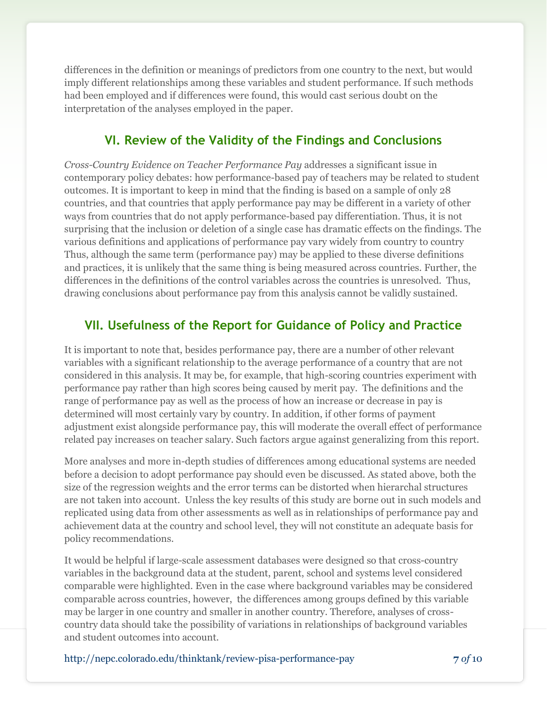differences in the definition or meanings of predictors from one country to the next, but would imply different relationships among these variables and student performance. If such methods had been employed and if differences were found, this would cast serious doubt on the interpretation of the analyses employed in the paper.

### **VI. Review of the Validity of the Findings and Conclusions**

*Cross-Country Evidence on Teacher Performance Pay* addresses a significant issue in contemporary policy debates: how performance-based pay of teachers may be related to student outcomes. It is important to keep in mind that the finding is based on a sample of only 28 countries, and that countries that apply performance pay may be different in a variety of other ways from countries that do not apply performance-based pay differentiation. Thus, it is not surprising that the inclusion or deletion of a single case has dramatic effects on the findings. The various definitions and applications of performance pay vary widely from country to country Thus, although the same term (performance pay) may be applied to these diverse definitions and practices, it is unlikely that the same thing is being measured across countries. Further, the differences in the definitions of the control variables across the countries is unresolved. Thus, drawing conclusions about performance pay from this analysis cannot be validly sustained.

### **VII. Usefulness of the Report for Guidance of Policy and Practice**

It is important to note that, besides performance pay, there are a number of other relevant variables with a significant relationship to the average performance of a country that are not considered in this analysis. It may be, for example, that high-scoring countries experiment with performance pay rather than high scores being caused by merit pay. The definitions and the range of performance pay as well as the process of how an increase or decrease in pay is determined will most certainly vary by country. In addition, if other forms of payment adjustment exist alongside performance pay, this will moderate the overall effect of performance related pay increases on teacher salary. Such factors argue against generalizing from this report.

More analyses and more in-depth studies of differences among educational systems are needed before a decision to adopt performance pay should even be discussed. As stated above, both the size of the regression weights and the error terms can be distorted when hierarchal structures are not taken into account. Unless the key results of this study are borne out in such models and replicated using data from other assessments as well as in relationships of performance pay and achievement data at the country and school level, they will not constitute an adequate basis for policy recommendations.

It would be helpful if large-scale assessment databases were designed so that cross-country variables in the background data at the student, parent, school and systems level considered comparable were highlighted. Even in the case where background variables may be considered comparable across countries, however, the differences among groups defined by this variable may be larger in one country and smaller in another country. Therefore, analyses of crosscountry data should take the possibility of variations in relationships of background variables and student outcomes into account.

http://nepc.colorado.edu/thinktank/review-pisa-performance-pay **7** *of* 10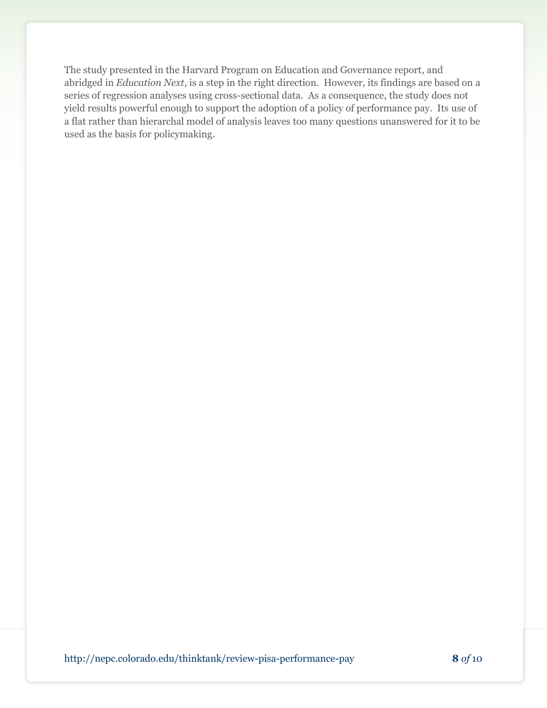The study presented in the Harvard Program on Education and Governance report, and abridged in *Education Next*, is a step in the right direction. However, its findings are based on a series of regression analyses using cross-sectional data. As a consequence, the study does not yield results powerful enough to support the adoption of a policy of performance pay. Its use of a flat rather than hierarchal model of analysis leaves too many questions unanswered for it to be used as the basis for policymaking.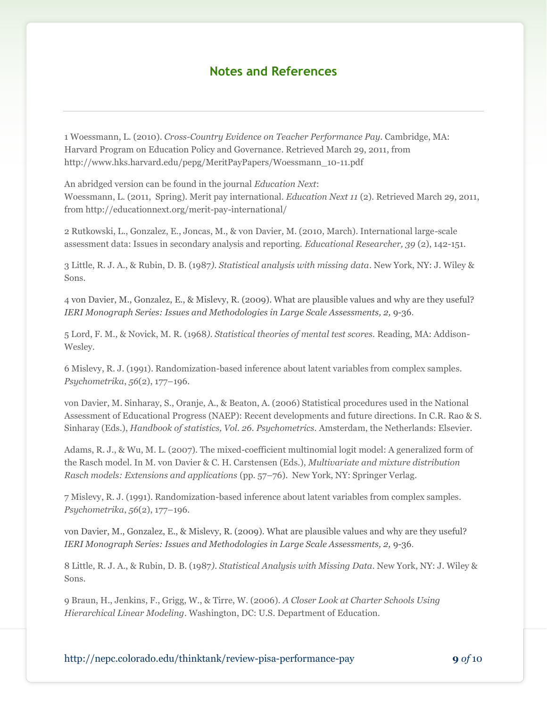### **Notes and References**

1 Woessmann, L. (2010). *Cross-Country Evidence on Teacher Performance Pay.* Cambridge, MA: Harvard Program on Education Policy and Governance. Retrieved March 29, 2011, from http://www.hks.harvard.edu/pepg/MeritPayPapers/Woessmann\_10-11.pdf

An abridged version can be found in the journal *Education Next*: Woessmann, L. (2011, Spring). Merit pay international. *Education Next 11* (2). Retrieved March 29, 2011, from http://educationnext.org/merit-pay-international/

2 Rutkowski, L., Gonzalez, E., Joncas, M., & von Davier, M. (2010, March). International large-scale assessment data: Issues in secondary analysis and reporting. *Educational Researcher, 39* (2), 142-151.

3 Little, R. J. A., & Rubin, D. B. (1987*). Statistical analysis with missing data*. New York, NY: J. Wiley & Sons.

4 von Davier, M., Gonzalez, E., & Mislevy, R. (2009). What are plausible values and why are they useful? *IERI Monograph Series: Issues and Methodologies in Large Scale Assessments, 2, 9-36.* 

5 Lord, F. M., & Novick, M. R. (1968*). Statistical theories of mental test scores.* Reading, MA: Addison-Wesley.

6 Mislevy, R. J. (1991). Randomization-based inference about latent variables from complex samples. *Psychometrika*, *56*(2), 177–196.

von Davier, M. Sinharay, S., Oranje, A., & Beaton, A. (2006) Statistical procedures used in the National Assessment of Educational Progress (NAEP): Recent developments and future directions. In C.R. Rao & S. Sinharay (Eds.), *Handbook of statistics, Vol. 26. Psychometrics.* Amsterdam, the Netherlands: Elsevier.

Adams, R. J., & Wu, M. L. (2007). The mixed-coefficient multinomial logit model: A generalized form of the Rasch model. In M. von Davier & C. H. Carstensen (Eds.), *Multivariate and mixture distribution Rasch models: Extensions and applications* (pp. 57–76). New York, NY: Springer Verlag.

7 Mislevy, R. J. (1991). Randomization-based inference about latent variables from complex samples. *Psychometrika*, *56*(2), 177–196.

von Davier, M., Gonzalez, E., & Mislevy, R. (2009). What are plausible values and why are they useful? *IERI Monograph Series: Issues and Methodologies in Large Scale Assessments, 2, 9-36.* 

8 Little, R. J. A., & Rubin, D. B. (1987*). Statistical Analysis with Missing Data*. New York, NY: J. Wiley & Sons.

9 Braun, H., Jenkins, F., Grigg, W., & Tirre, W. (2006). *A Closer Look at Charter Schools Using Hierarchical Linear Modeling.* Washington, DC: U.S. Department of Education.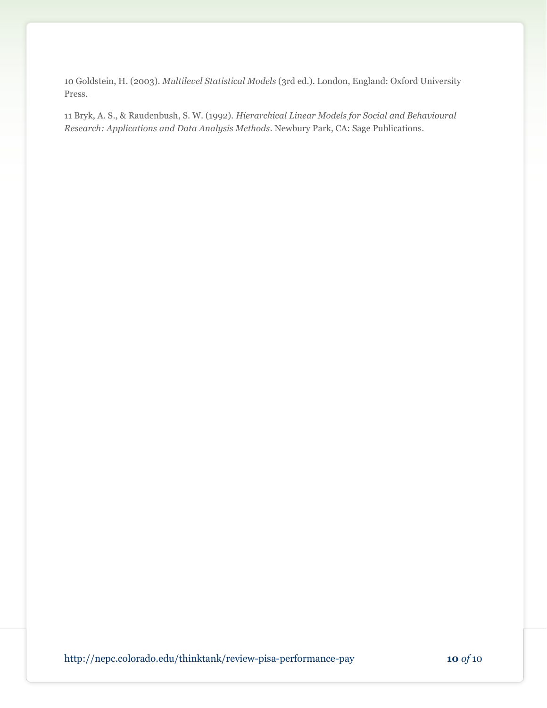10 Goldstein, H. (2003). *Multilevel Statistical Models* (3rd ed.). London, England: Oxford University Press.

11 Bryk, A. S., & Raudenbush, S. W. (1992). *Hierarchical Linear Models for Social and Behavioural Research: Applications and Data Analysis Methods*. Newbury Park, CA: Sage Publications.

http://nepc.colorado.edu/thinktank/review-pisa-performance-pay **10** *of* 10